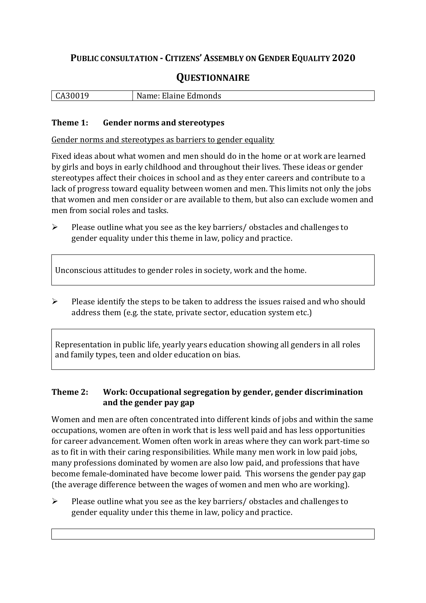## **PUBLIC CONSULTATION - CITIZENS' ASSEMBLY ON GENDER EQUALITY 2020**

# **QUESTIONNAIRE**

| l CA30019 | . Elaine Edmonds<br>N :<br>$\sim$ |
|-----------|-----------------------------------|
|           |                                   |

#### **Theme 1: Gender norms and stereotypes**

Gender norms and stereotypes as barriers to gender equality

Fixed ideas about what women and men should do in the home or at work are learned by girls and boys in early childhood and throughout their lives. These ideas or gender stereotypes affect their choices in school and as they enter careers and contribute to a lack of progress toward equality between women and men. This limits not only the jobs that women and men consider or are available to them, but also can exclude women and men from social roles and tasks.

➢ Please outline what you see as the key barriers/ obstacles and challenges to gender equality under this theme in law, policy and practice.

Unconscious attitudes to gender roles in society, work and the home.

➢ Please identify the steps to be taken to address the issues raised and who should address them (e.g. the state, private sector, education system etc.)

Representation in public life, yearly years education showing all genders in all roles and family types, teen and older education on bias.

#### **Theme 2: Work: Occupational segregation by gender, gender discrimination and the gender pay gap**

Women and men are often concentrated into different kinds of jobs and within the same occupations, women are often in work that is less well paid and has less opportunities for career advancement. Women often work in areas where they can work part-time so as to fit in with their caring responsibilities. While many men work in low paid jobs, many professions dominated by women are also low paid, and professions that have become female-dominated have become lower paid. This worsens the gender pay gap (the average difference between the wages of women and men who are working).

➢ Please outline what you see as the key barriers/ obstacles and challenges to gender equality under this theme in law, policy and practice.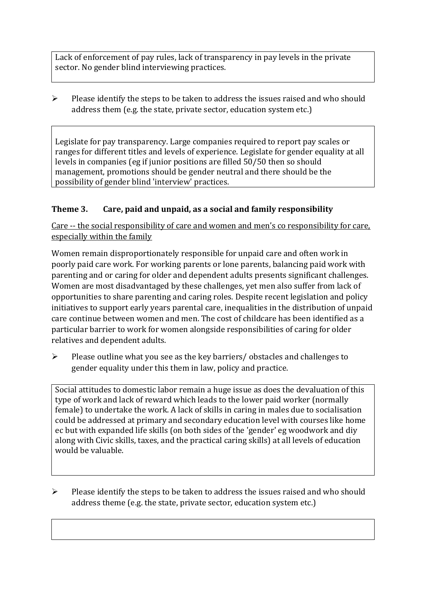Lack of enforcement of pay rules, lack of transparency in pay levels in the private sector. No gender blind interviewing practices.

 $\triangleright$  Please identify the steps to be taken to address the issues raised and who should address them (e.g. the state, private sector, education system etc.)

Legislate for pay transparency. Large companies required to report pay scales or ranges for different titles and levels of experience. Legislate for gender equality at all levels in companies (eg if junior positions are filled 50/50 then so should management, promotions should be gender neutral and there should be the possibility of gender blind 'interview' practices.

### **Theme 3. Care, paid and unpaid, as a social and family responsibility**

Care -- the social responsibility of care and women and men's co responsibility for care, especially within the family

Women remain disproportionately responsible for unpaid care and often work in poorly paid care work. For working parents or [lone parents,](https://aran.library.nuigalway.ie/bitstream/handle/10379/6044/Millar_and_Crosse_Activation_Report.pdf?sequence=1&isAllowed=y) balancing paid work with parenting and or caring for older and dependent adults presents significant challenges. Women are [most disadvantaged by these challenges,](https://eige.europa.eu/gender-equality-index/game/IE/W) yet men also suffer from lack of opportunities to share parenting and caring roles. Despite recent legislation and policy initiatives to support early years parental care, [inequalities in the distribution of unpaid](https://www.ihrec.ie/app/uploads/2019/07/Caring-and-Unpaid-Work-in-Ireland_Final.pdf)  [care](https://www.ihrec.ie/app/uploads/2019/07/Caring-and-Unpaid-Work-in-Ireland_Final.pdf) continue between women and men. The cost of childcare has been identified as a particular barrier to work for women alongside responsibilities of caring for older relatives and dependent adults.

➢ Please outline what you see as the key barriers/ obstacles and challenges to gender equality under this them in law, policy and practice.

Social attitudes to domestic labor remain a huge issue as does the devaluation of this type of work and lack of reward which leads to the lower paid worker (normally female) to undertake the work. A lack of skills in caring in males due to socialisation could be addressed at primary and secondary education level with courses like home ec but with expanded life skills (on both sides of the 'gender' eg woodwork and diy along with Civic skills, taxes, and the practical caring skills) at all levels of education would be valuable.

➢ Please identify the steps to be taken to address the issues raised and who should address theme (e.g. the state, private sector, education system etc.)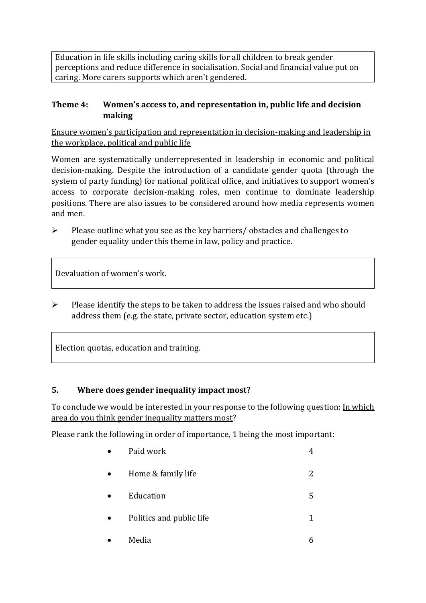Education in life skills including caring skills for all children to break gender perceptions and reduce difference in socialisation. Social and financial value put on caring. More carers supports which aren't gendered.

#### **Theme 4: Women's access to, and representation in, public life and decision making**

Ensure women's participation and representation in decision-making and leadership in the workplace, political and public life

Women are systematically underrepresented in leadership in [economic](https://eige.europa.eu/gender-equality-index/2019/compare-countries/power/2/bar) and [political](https://eige.europa.eu/gender-equality-index/2019/compare-countries/power/1/bar)  [decision-](https://eige.europa.eu/gender-equality-index/2019/compare-countries/power/1/bar)making. Despite the introduction of a candidate gender quota (through the system of party funding) for national political office, and [initiatives](https://betterbalance.ie/) to support women's access to corporate decision-making roles, men continue to dominate leadership positions. There are also issues to be considered around how media represents women and men.

➢ Please outline what you see as the key barriers/ obstacles and challenges to gender equality under this theme in law, policy and practice.

Devaluation of women's work.

➢ Please identify the steps to be taken to address the issues raised and who should address them (e.g. the state, private sector, education system etc.)

Election quotas, education and training.

#### **5. Where does gender inequality impact most?**

To conclude we would be interested in your response to the following question: In which area do you think gender inequality matters most?

Please rank the following in order of importance, 1 being the most important:

| Paid work                |   |
|--------------------------|---|
| Home & family life       |   |
| Education                | 5 |
| Politics and public life |   |
| Media                    |   |